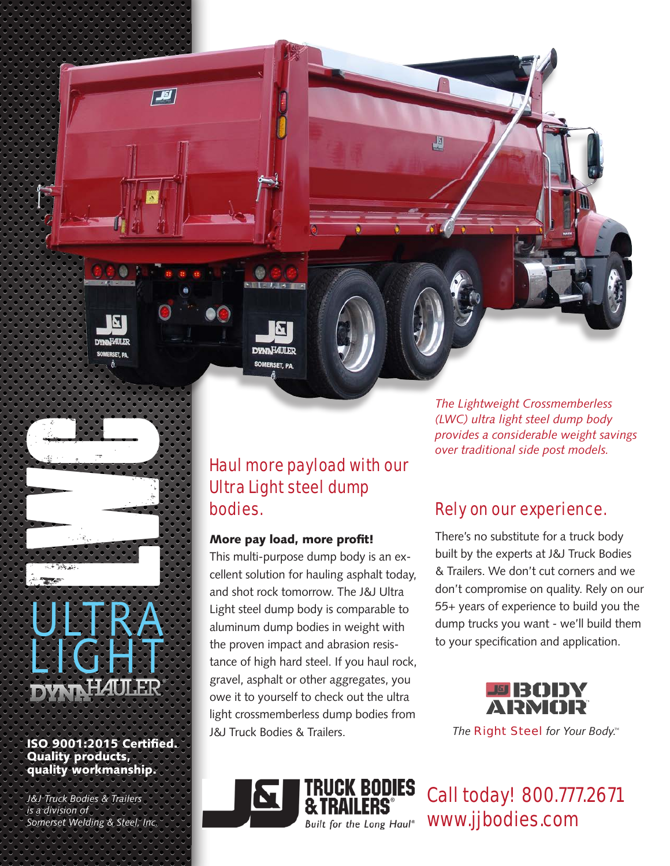**J**g

**Somerset Welding & Steel, Inc.**<br>
Somerset Welding & Steel, Inc.<br>
Somerset Welding & Steel, Inc. ULTRA **LIGHT** 

#### ISO 9001:2015 Certified. Quality products, quality workmanship.

*J&J Truck Bodies & Trailers is a division of* 

### Haul more payload with our Ultra Light steel dump bodies.

#### More pay load, more profit!

**DYNNHAULER** SOMERSET, PA

This multi-purpose dump body is an excellent solution for hauling asphalt today, and shot rock tomorrow. The J&J Ultra Light steel dump body is comparable to aluminum dump bodies in weight with the proven impact and abrasion resistance of high hard steel. If you haul rock, gravel, asphalt or other aggregates, you owe it to yourself to check out the ultra light crossmemberless dump bodies from J&J Truck Bodies & Trailers.

K BODIES

Built for the Long Haul®

*The Lightweight Crossmemberless (LWC) ultra light steel dump body provides a considerable weight savings over traditional side post models.*

# Rely on our experience.

週

There's no substitute for a truck body built by the experts at J&J Truck Bodies & Trailers. We don't cut corners and we don't compromise on quality. Rely on our 55+ years of experience to build you the dump trucks you want - we'll build them to your specification and application.



*The Right Steel for Your Body.*

Call today! 800.777.2671 www.jjbodies.com